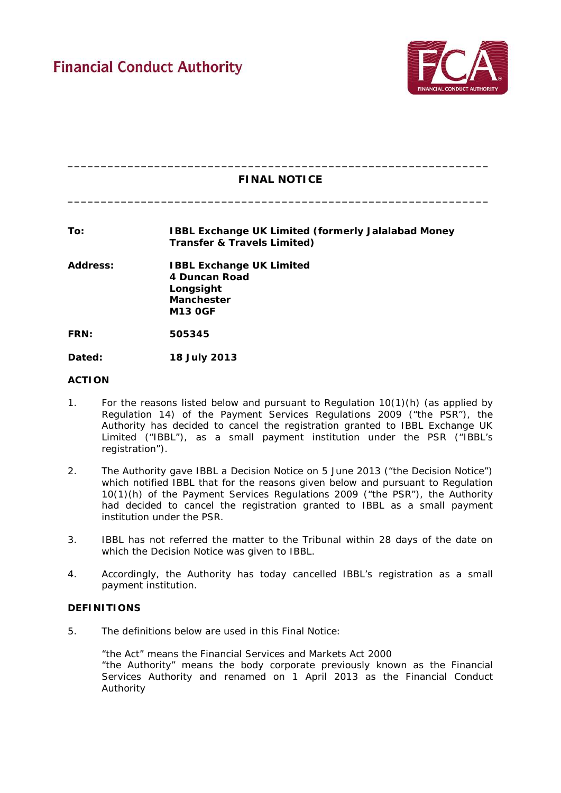

# **\_\_\_\_\_\_\_\_\_\_\_\_\_\_\_\_\_\_\_\_\_\_\_\_\_\_\_\_\_\_\_\_\_\_\_\_\_\_\_\_\_\_\_\_\_\_\_\_\_\_\_\_\_\_\_\_\_\_\_\_\_\_\_ FINAL NOTICE**

**\_\_\_\_\_\_\_\_\_\_\_\_\_\_\_\_\_\_\_\_\_\_\_\_\_\_\_\_\_\_\_\_\_\_\_\_\_\_\_\_\_\_\_\_\_\_\_\_\_\_\_\_\_\_\_\_\_\_\_\_\_\_\_**

# **To: IBBL Exchange UK Limited (formerly Jalalabad Money Transfer & Travels Limited)**

**Address: IBBL Exchange UK Limited 4 Duncan Road Longsight Manchester M13 0GF**

**FRN: 505345**

**Dated: 18 July 2013** 

#### **ACTION**

- 1. For the reasons listed below and pursuant to Regulation 10(1)(h) (as applied by Regulation 14) of the Payment Services Regulations 2009 ("the PSR"), the Authority has decided to cancel the registration granted to IBBL Exchange UK Limited ("IBBL"), as a small payment institution under the PSR ("IBBL's registration").
- 2. The Authority gave IBBL a Decision Notice on 5 June 2013 ("the Decision Notice") which notified IBBL that for the reasons given below and pursuant to Regulation 10(1)(h) of the Payment Services Regulations 2009 ("the PSR"), the Authority had decided to cancel the registration granted to IBBL as a small payment institution under the PSR.
- 3. IBBL has not referred the matter to the Tribunal within 28 days of the date on which the Decision Notice was given to IBBL.
- 4. Accordingly, the Authority has today cancelled IBBL's registration as a small payment institution.

#### **DEFINITIONS**

5. The definitions below are used in this Final Notice:

"the Act" means the Financial Services and Markets Act 2000 "the Authority" means the body corporate previously known as the Financial Services Authority and renamed on 1 April 2013 as the Financial Conduct Authority